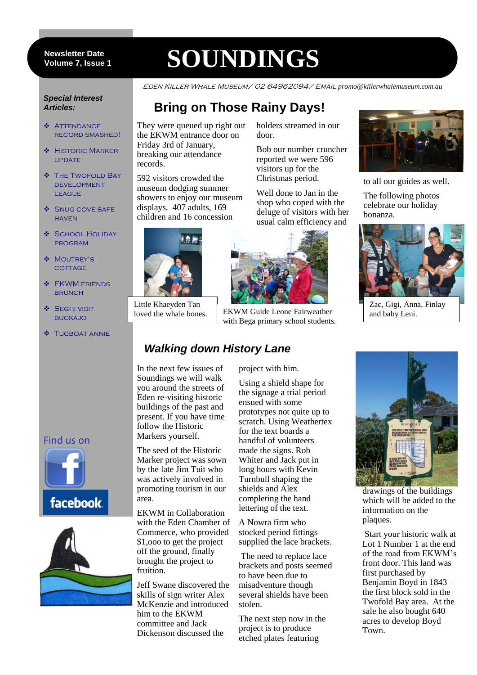#### 7 **Volume 7, Issue 1 Newsletter Date**

# **SOUNDINGS**

**Bring on Those Rainy Days!**

Eden Killer Whale Museum/ 02 64962094/ Email *promo@killerwhalemuseum.com.au*

#### *Special Interest Articles:*

- ◆ ATTENDANCE record smashed!
- **\*** HISTORIC MARKER **UPDATE**
- ◆ THE TWOFOLD BAY development **LEAGUE**
- **SNUG COVE SAFE HAVEN**
- **SCHOOL HOLIDAY** program
- ❖ MOUTREY'S **COTTAGE**
- **S** EKWM FRIENDS **BRUNCH**
- ◆ SEGHI VISIT **BUCKAJO**
- **\*** TUGBOAT ANNIE



records.

They were queued up right out the EKWM entrance door on Friday 3rd of January, breaking our attendance

592 visitors crowded the museum dodging summer showers to enjoy our museum displays. 407 adults, 169 children and 16 concession

Little Khaeyden Tan

# *Walking down History Lane*

In the next few issues of Soundings we will walk you around the streets of Eden re-visiting historic buildings of the past and present. If you have time follow the Historic Markers yourself.

The seed of the Historic Marker project was sown by the late Jim Tuit who was actively involved in promoting tourism in our area.

EKWM in Collaboration with the Eden Chamber of Commerce, who provided \$1,ooo to get the project off the ground, finally brought the project to fruition.

Jeff Swane discovered the skills of sign writer Alex McKenzie and introduced him to the EKWM committee and Jack Dickenson discussed the

holders streamed in our door.

Bob our number cruncher reported we were 596 visitors up for the Christmas period.

Well done to Jan in the shop who coped with the deluge of visitors with her usual calm efficiency and



loved the whale bones. EKWM Guide Leone Fairweather with Bega primary school students.

### project with him.

Using a shield shape for the signage a trial period ensued with some prototypes not quite up to scratch. Using Weathertex for the text boards a handful of volunteers made the signs. Rob Whiter and Jack put in long hours with Kevin Turnbull shaping the shields and Alex completing the hand lettering of the text.

A Nowra firm who stocked period fittings supplied the lace brackets.

The need to replace lace brackets and posts seemed to have been due to misadventure though several shields have been stolen.

The next step now in the project is to produce etched plates featuring



to all our guides as well.

The following photos celebrate our holiday bonanza.



Zac, Gigi, Anna, Finlay and baby Leni.



drawings of the buildings which will be added to the information on the plaques.

Start your historic walk at Lot 1 Number 1 at the end of the road from EKWM's front door. This land was first purchased by Benjamin Boyd in 1843 – the first block sold in the Twofold Bay area. At the sale he also bought 640 acres to develop Boyd Town.

### Find us on



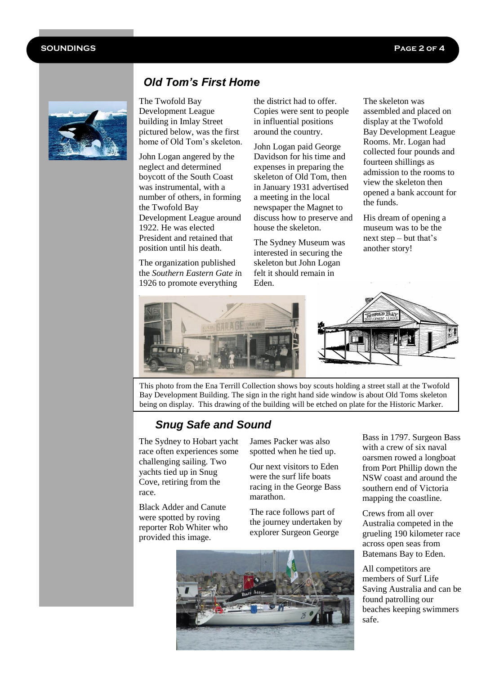#### **SOUNDINGS Page 2 of 4**

ı



# *Old Tom's First Home*

The Twofold Bay Development League building in Imlay Street pictured below, was the first home of Old Tom's skeleton.

John Logan angered by the neglect and determined boycott of the South Coast was instrumental, with a number of others, in forming the Twofold Bay Development League around 1922. He was elected President and retained that position until his death.

The organization published the *Southern Eastern Gate i*n 1926 to promote everything

the district had to offer. Copies were sent to people in influential positions around the country.

John Logan paid George Davidson for his time and expenses in preparing the skeleton of Old Tom, then in January 1931 advertised a meeting in the local newspaper the Magnet to discuss how to preserve and house the skeleton.

The Sydney Museum was interested in securing the skeleton but John Logan felt it should remain in Eden.

The skeleton was assembled and placed on display at the Twofold Bay Development League Rooms. Mr. Logan had collected four pounds and fourteen shillings as admission to the rooms to view the skeleton then opened a bank account for the funds.

His dream of opening a museum was to be the next step – but that's another story!



This photo from the Ena Terrill Collection shows boy scouts holding a street stall at the Twofold Bay Development Building. The sign in the right hand side window is about Old Toms skeleton being on display. This drawing of the building will be etched on plate for the Historic Marker.

# *Snug Safe and Sound*

The Sydney to Hobart yacht race often experiences some challenging sailing. Two yachts tied up in Snug Cove, retiring from the race.

Black Adder and Canute were spotted by roving reporter Rob Whiter who provided this image.

James Packer was also spotted when he tied up.

Our next visitors to Eden were the surf life boats racing in the George Bass marathon.

The race follows part of the journey undertaken by explorer Surgeon George



Bass in 1797. Surgeon Bass with a crew of six naval oarsmen rowed a longboat from Port Phillip down the NSW coast and around the southern end of Victoria mapping the coastline.

Crews from all over Australia competed in the grueling 190 kilometer race across open seas from Batemans Bay to Eden.

All competitors are members of Surf Life Saving Australia and can be found patrolling our beaches keeping swimmers safe.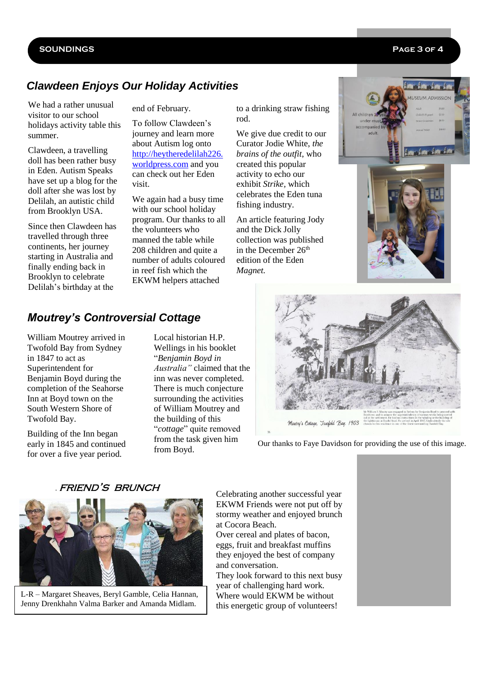#### **SOUNDINGS Page 3 of 4**

# *Clawdeen Enjoys Our Holiday Activities*

We had a rather unusual visitor to our school holidays activity table this summer.

Clawdeen, a travelling doll has been rather busy in Eden. Autism Speaks have set up a blog for the doll after she was lost by Delilah, an autistic child from Brooklyn USA.

Since then Clawdeen has travelled through three continents, her journey starting in Australia and finally ending back in Brooklyn to celebrate Delilah's birthday at the

end of February.

To follow Clawdeen's journey and learn more about Autism log onto [http://heytheredelilah226.](http://heytheredelilah226.worldpress.com/) [worldpress.com](http://heytheredelilah226.worldpress.com/) and you can check out her Eden visit.

We again had a busy time with our school holiday program. Our thanks to all the volunteers who manned the table while 208 children and quite a number of adults coloured in reef fish which the EKWM helpers attached

to a drinking straw fishing rod.

We give due credit to our Curator Jodie White, *the brains of the outfit*, who created this popular activity to echo our exhibit *Strike,* which celebrates the Eden tuna fishing industry.

An article featuring Jody and the Dick Jolly collection was published in the December  $26<sup>th</sup>$ edition of the Eden *Magnet.*





# *Moutrey's Controversial Cottage*

William Moutrey arrived in Twofold Bay from Sydney in 1847 to act as Superintendent for Benjamin Boyd during the completion of the Seahorse Inn at Boyd town on the South Western Shore of Twofold Bay.

Building of the Inn began early in 1845 and continued for over a five year period.

Local historian H.P. Wellings in his booklet "*Benjamin Boyd in Australia"* claimed that the inn was never completed. There is much conjecture surrounding the activities of William Moutrey and the building of this "*cottage*" quite removed from the task given him from Boyd.



Our thanks to Faye Davidson for providing the use of this image.



. friend's brunch

L-R – Margaret Sheaves, Beryl Gamble, Celia Hannan, Jenny Drenkhahn Valma Barker and Amanda Midlam.

Celebrating another successful year EKWM Friends were not put off by stormy weather and enjoyed brunch at Cocora Beach.

Over cereal and plates of bacon, eggs, fruit and breakfast muffins they enjoyed the best of company and conversation.

They look forward to this next busy year of challenging hard work. Where would EKWM be without this energetic group of volunteers!